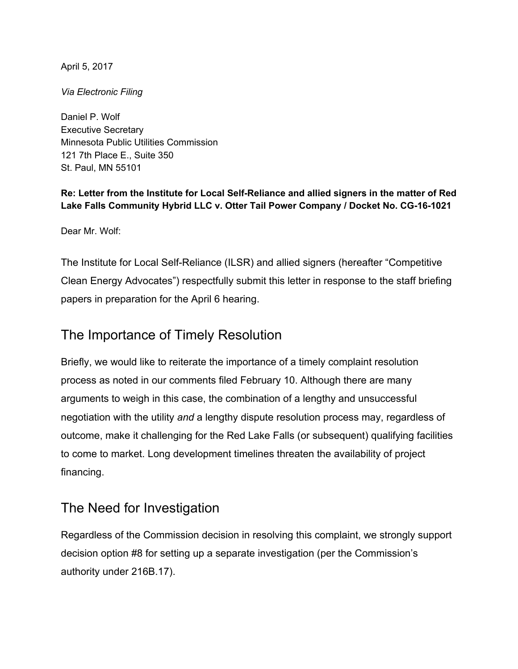April 5, 2017

*Via Electronic Filing*

Daniel P. Wolf Executive Secretary Minnesota Public Utilities Commission 121 7th Place E., Suite 350 St. Paul, MN 55101

**Re: Letter from the Institute for Local Self-Reliance and allied signers in the matter of Red Lake Falls Community Hybrid LLC v. Otter Tail Power Company / Docket No. CG-16-1021**

Dear Mr. Wolf:

The Institute for Local Self-Reliance (ILSR) and allied signers (hereafter "Competitive Clean Energy Advocates") respectfully submit this letter in response to the staff briefing papers in preparation for the April 6 hearing.

## The Importance of Timely Resolution

Briefly, we would like to reiterate the importance of a timely complaint resolution process as noted in our comments filed February 10. Although there are many arguments to weigh in this case, the combination of a lengthy and unsuccessful negotiation with the utility *and* a lengthy dispute resolution process may, regardless of outcome, make it challenging for the Red Lake Falls (or subsequent) qualifying facilities to come to market. Long development timelines threaten the availability of project financing.

## The Need for Investigation

Regardless of the Commission decision in resolving this complaint, we strongly support decision option #8 for setting up a separate investigation (per the Commission's authority under 216B.17).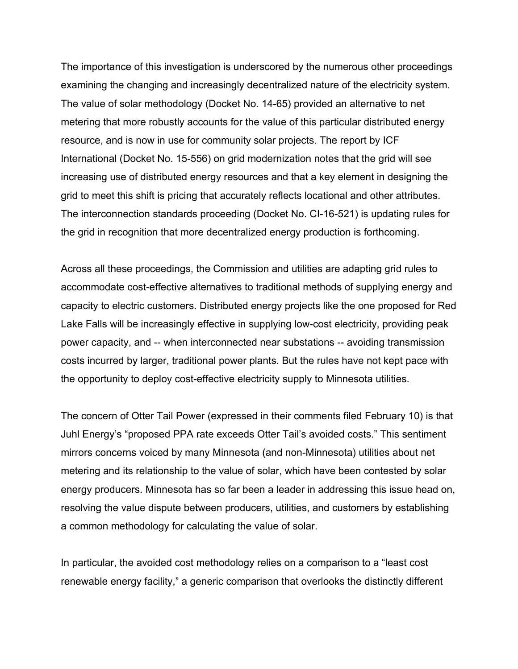The importance of this investigation is underscored by the numerous other proceedings examining the changing and increasingly decentralized nature of the electricity system. The value of solar methodology (Docket No. 14-65) provided an alternative to net metering that more robustly accounts for the value of this particular distributed energy resource, and is now in use for community solar projects. The report by ICF International (Docket No. 15-556) on grid modernization notes that the grid will see increasing use of distributed energy resources and that a key element in designing the grid to meet this shift is pricing that accurately reflects locational and other attributes. The interconnection standards proceeding (Docket No. CI-16-521) is updating rules for the grid in recognition that more decentralized energy production is forthcoming.

Across all these proceedings, the Commission and utilities are adapting grid rules to accommodate cost-effective alternatives to traditional methods of supplying energy and capacity to electric customers. Distributed energy projects like the one proposed for Red Lake Falls will be increasingly effective in supplying low-cost electricity, providing peak power capacity, and -- when interconnected near substations -- avoiding transmission costs incurred by larger, traditional power plants. But the rules have not kept pace with the opportunity to deploy cost-effective electricity supply to Minnesota utilities.

The concern of Otter Tail Power (expressed in their comments filed February 10) is that Juhl Energy's "proposed PPA rate exceeds Otter Tail's avoided costs." This sentiment mirrors concerns voiced by many Minnesota (and non-Minnesota) utilities about net metering and its relationship to the value of solar, which have been contested by solar energy producers. Minnesota has so far been a leader in addressing this issue head on, resolving the value dispute between producers, utilities, and customers by establishing a common methodology for calculating the value of solar.

In particular, the avoided cost methodology relies on a comparison to a "least cost renewable energy facility," a generic comparison that overlooks the distinctly different